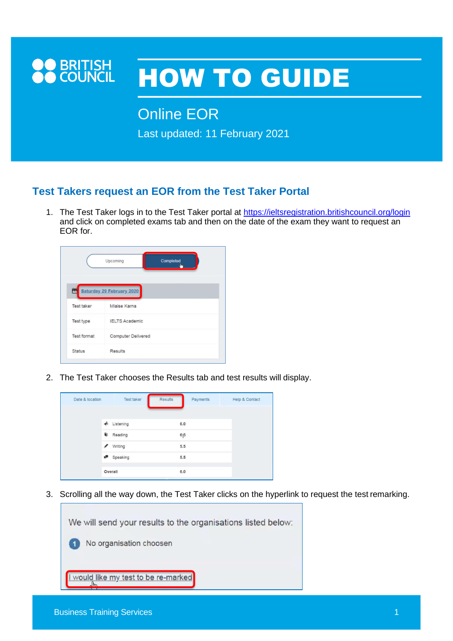

## HOW TO GUIDE

Online EOR

Last updated: 11 February 2021

## **Test Takers request an EOR from the Test Taker Portal**

1. The Test Taker logs in to the Test Taker portal at <https://ieltsregistration.britishcouncil.org/login> and click on completed exams tab and then on the date of the exam they want to request an EOR for.

|                    | Upcoming<br>Completed     |  |  |  |
|--------------------|---------------------------|--|--|--|
|                    | Saturday 29 February 2020 |  |  |  |
| <b>Test taker</b>  | Mlaise Karna              |  |  |  |
| Test type          | <b>IELTS Academic</b>     |  |  |  |
| <b>Test format</b> | Computer Delivered        |  |  |  |
|                    | Results                   |  |  |  |

2. The Test Taker chooses the Results tab and test results will display.

| Date & location | <b>Test taker</b>          | <b>Results</b>   | Payments | <b>Help &amp; Contact</b> |
|-----------------|----------------------------|------------------|----------|---------------------------|
|                 |                            |                  |          |                           |
|                 | $\bigtriangleup$ Listening | 6.0              |          |                           |
|                 | Reading                    | $6\overline{)5}$ |          |                           |
|                 | / Writing                  | 5.5              |          |                           |
|                 | Speaking                   | 5.5              |          |                           |
|                 | Overall                    | 6.0              |          |                           |
|                 |                            |                  |          |                           |

3. Scrolling all the way down, the Test Taker clicks on the hyperlink to request the test remarking.

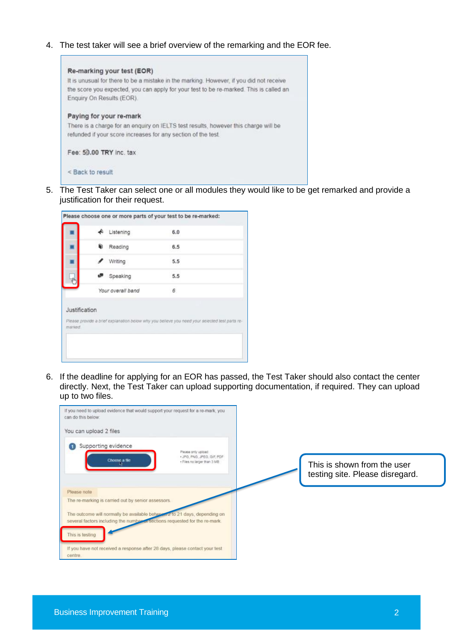4. The test taker will see a brief overview of the remarking and the EOR fee.



5. The Test Taker can select one or all modules they would like to be get remarked and provide a justification for their request.



6. If the deadline for applying for an EOR has passed, the Test Taker should also contact the center directly. Next, the Test Taker can upload supporting documentation, if required. They can upload up to two files.